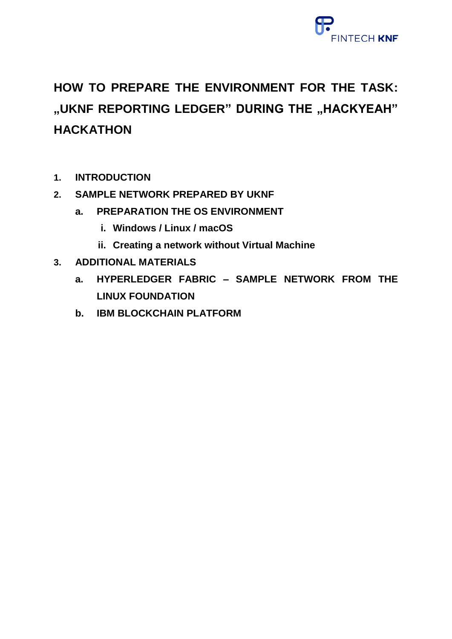

# **HOW TO PREPARE THE ENVIRONMENT FOR THE TASK:**  "UKNF REPORTING LEDGER" DURING THE "HACKYEAH" **HACKATHON**

- **1. INTRODUCTION**
- **2. SAMPLE NETWORK PREPARED BY UKNF**
	- **a. PREPARATION THE OS ENVIRONMENT**
		- **i. Windows / Linux / macOS**
		- **ii. Creating a network without Virtual Machine**
- **3. ADDITIONAL MATERIALS**
	- **a. HYPERLEDGER FABRIC – SAMPLE NETWORK FROM THE LINUX FOUNDATION**
	- **b. IBM BLOCKCHAIN PLATFORM**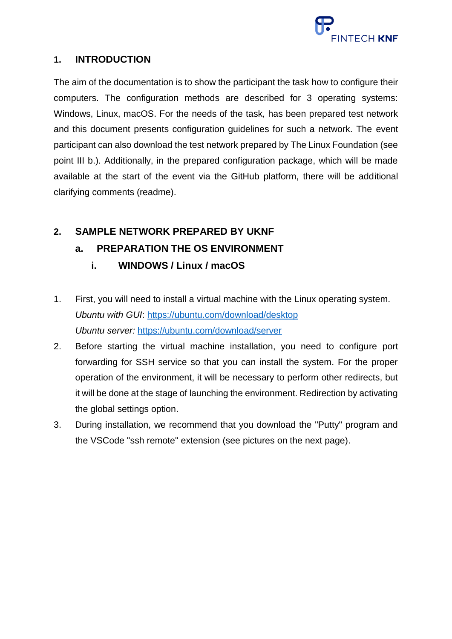

### **1. INTRODUCTION**

The aim of the documentation is to show the participant the task how to configure their computers. The configuration methods are described for 3 operating systems: Windows, Linux, macOS. For the needs of the task, has been prepared test network and this document presents configuration guidelines for such a network. The event participant can also download the test network prepared by The Linux Foundation (see point III b.). Additionally, in the prepared configuration package, which will be made available at the start of the event via the GitHub platform, there will be additional clarifying comments (readme).

# **2. SAMPLE NETWORK PREPARED BY UKNF**

# **a. PREPARATION THE OS ENVIRONMENT**

- **i. WINDOWS / Linux / macOS**
- 1. First, you will need to install a virtual machine with the Linux operating system. *Ubuntu with GUI*:<https://ubuntu.com/download/desktop> *Ubuntu server:* <https://ubuntu.com/download/server>
- 2. Before starting the virtual machine installation, you need to configure port forwarding for SSH service so that you can install the system. For the proper operation of the environment, it will be necessary to perform other redirects, but it will be done at the stage of launching the environment. Redirection by activating the global settings option.
- 3. During installation, we recommend that you download the "Putty" program and the VSCode "ssh remote" extension (see pictures on the next page).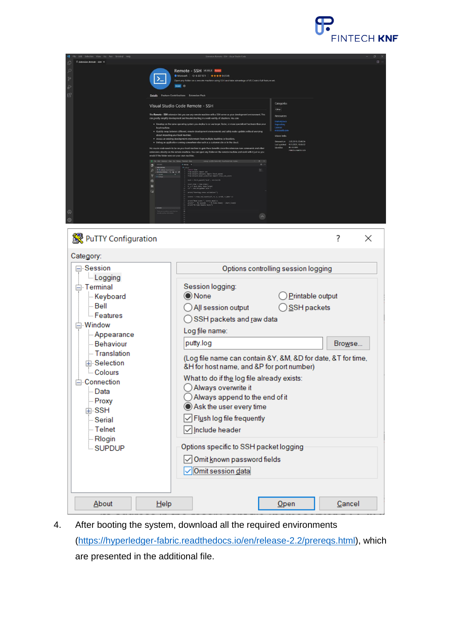

| E Extension: Remote - SSH X                                                                                                                                                                                                                                |                                                                                                                                                                                                                                                      |                                                                                                                                                                                                                                                                                                                                                                                                                                                                                                                                                                                                                                                                                                                                                                                                                                                                                                                                                                                                                                                                                                                                                                                                                                                                                                                                                                                                                                                                                                                      | $\square$ $\cdots$ |
|------------------------------------------------------------------------------------------------------------------------------------------------------------------------------------------------------------------------------------------------------------|------------------------------------------------------------------------------------------------------------------------------------------------------------------------------------------------------------------------------------------------------|----------------------------------------------------------------------------------------------------------------------------------------------------------------------------------------------------------------------------------------------------------------------------------------------------------------------------------------------------------------------------------------------------------------------------------------------------------------------------------------------------------------------------------------------------------------------------------------------------------------------------------------------------------------------------------------------------------------------------------------------------------------------------------------------------------------------------------------------------------------------------------------------------------------------------------------------------------------------------------------------------------------------------------------------------------------------------------------------------------------------------------------------------------------------------------------------------------------------------------------------------------------------------------------------------------------------------------------------------------------------------------------------------------------------------------------------------------------------------------------------------------------------|--------------------|
| Q<br>$\mathbb{S}^{\circ}$<br>Ğ,<br>昭<br>$^{\circledR}$                                                                                                                                                                                                     | >_<br>Install ©<br><b>Details</b> Feature Contributions Extension Pack<br>Visual Studio Code Remote - SSH<br>local machine<br>about impacting your local machine<br>would if the folder were on your own machine.<br>$\theta$ .<br>$\circ$<br>G<br>c | Remote - SSH v0.66.1 Process<br>● Microsoft   © 6 537 871   ★★★★☆(104)<br>Open any folder on a remote machine using SSH and take advantage of VS Code's full feature set.<br>Categories<br>Other<br>moto - SSH extension lets you use any remote machine with a SSH server as your development enviro<br><b>Resources</b><br>can greatly simplify development and troubleshooting in a wide variety of situations. You care<br>Marketp<br>. Develop on the same operating system you deploy to or use larger, faster, or more specialized hardware than your<br>Repositor<br>Liopnia<br>microscotti<br>. Quickly swap between different, remote development environments and safely make updates without worrying<br>More Info<br>. Access an existing development environment from multiple machines or locations.<br>Released on 2.05.2019, 20:40:34<br>Last updated 9.11.2021, 18:56:32<br>. Debug an application running somewhere else such as a customer site or in the cloud.<br>es-vscode<br>No source code needs to be on your local machine to gain these benefits since the extension runs commands and other<br>remote.remote.cch<br>extensions directly on the remote machine. You can open any folder on the remote machine and work with it just as you<br>- tientime()<br>.data, mush.targe<br>terting cross validation!")<br>vel_score[c1f, X, y, cv<br>print("hean score ", scores.mean())<br>print("--- Sa seconds --- " S (time.time() - start_time))<br>print("Vs tode Remote Recks")<br>$\sim$ |                    |
| PuTTY Configuration                                                                                                                                                                                                                                        |                                                                                                                                                                                                                                                      |                                                                                                                                                                                                                                                                                                                                                                                                                                                                                                                                                                                                                                                                                                                                                                                                                                                                                                                                                                                                                                                                                                                                                                                                                                                                                                                                                                                                                                                                                                                      | ?<br>×             |
| Category:                                                                                                                                                                                                                                                  |                                                                                                                                                                                                                                                      |                                                                                                                                                                                                                                                                                                                                                                                                                                                                                                                                                                                                                                                                                                                                                                                                                                                                                                                                                                                                                                                                                                                                                                                                                                                                                                                                                                                                                                                                                                                      |                    |
| ⊟ Session<br>Logging<br>白 Terminal<br>Keyboard<br>≔ Bell<br><b>Eeatures</b><br>⊟ Window<br>- Appearance<br>- Behaviour<br>- Translation<br>由 Selection<br>Colours<br>⊟ Connection<br>⊹ Data<br>- Proxy<br>由 SSH<br>Serial<br>- Telnet<br>-Rlogin<br>SUPDUP |                                                                                                                                                                                                                                                      | Options controlling session logging<br>Session logging:<br>◉ None<br>Printable output<br>SSH packets<br>All session output<br>SSH packets and raw data<br>Log file name:<br>putty.log<br>(Log file name can contain &Y, &M, &D for date, &T for time,<br>&H for host name, and &P for port number)<br>What to do if the log file already exists:<br>Always overwrite it<br>Always append to the end of it<br>Ask the user every time<br>Flush log file frequently<br>√ Include header<br>Options specific to SSH packet logging<br>Omit known password fields<br>✓ Omit session data                                                                                                                                                                                                                                                                                                                                                                                                                                                                                                                                                                                                                                                                                                                                                                                                                                                                                                                                 | Browse             |
| About                                                                                                                                                                                                                                                      | Help                                                                                                                                                                                                                                                 | Open                                                                                                                                                                                                                                                                                                                                                                                                                                                                                                                                                                                                                                                                                                                                                                                                                                                                                                                                                                                                                                                                                                                                                                                                                                                                                                                                                                                                                                                                                                                 | Cancel             |

4. After booting the system, download all the required environments [\(https://hyperledger-fabric.readthedocs.io/en/release-2.2/prereqs.html\)](https://hyperledger-fabric.readthedocs.io/en/release-2.2/prereqs.html), which are presented in the additional file.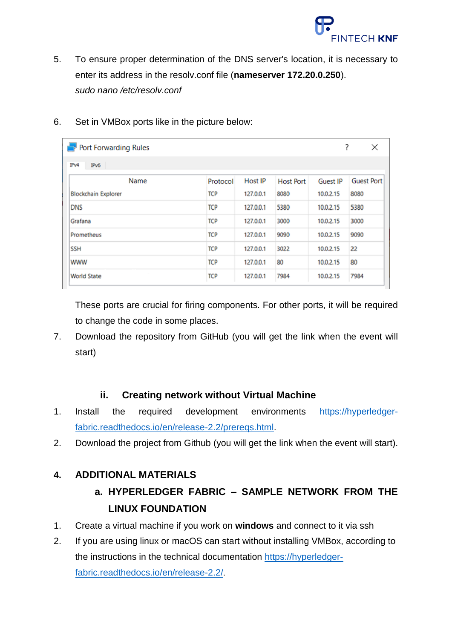

5. To ensure proper determination of the DNS server's location, it is necessary to enter its address in the resolv.conf file (**nameserver 172.20.0.250**). *sudo nano /etc/resolv.conf*

| 6. | Set in VMBox ports like in the picture below: |
|----|-----------------------------------------------|
|----|-----------------------------------------------|

| <b>Port Forwarding Rules</b> |            |           |                  |                 | ?<br>×            |
|------------------------------|------------|-----------|------------------|-----------------|-------------------|
| IPv4<br>IPv6                 |            |           |                  |                 |                   |
| Name                         | Protocol   | Host IP   | <b>Host Port</b> | <b>Guest IP</b> | <b>Guest Port</b> |
| <b>Blockchain Explorer</b>   | <b>TCP</b> | 127.0.0.1 | 8080             | 10.0.2.15       | 8080              |
| <b>DNS</b>                   | <b>TCP</b> | 127.0.0.1 | 5380             | 10.0.2.15       | 5380              |
| Grafana                      | <b>TCP</b> | 127.0.0.1 | 3000             | 10.0.2.15       | 3000              |
| Prometheus                   | <b>TCP</b> | 127,0,0,1 | 9090             | 10.0.2.15       | 9090              |
| <b>SSH</b>                   | <b>TCP</b> | 127,0,0,1 | 3022             | 10.0.2.15       | 22                |
| <b>WWW</b>                   | <b>TCP</b> | 127,0,0,1 | 80               | 10.0.2.15       | 80                |
| <b>World State</b>           | <b>TCP</b> | 127.0.0.1 | 7984             | 10.0.2.15       | 7984              |

These ports are crucial for firing components. For other ports, it will be required to change the code in some places.

7. Download the repository from GitHub (you will get the link when the event will start)

#### **ii. Creating network without Virtual Machine**

- 1. Install the required development environments [https://hyperledger](https://hyperledger-fabric.readthedocs.io/en/release-2.2/prereqs.html)[fabric.readthedocs.io/en/release-2.2/prereqs.html.](https://hyperledger-fabric.readthedocs.io/en/release-2.2/prereqs.html)
- 2. Download the project from Github (you will get the link when the event will start).

#### **4. ADDITIONAL MATERIALS**

# **a. HYPERLEDGER FABRIC – SAMPLE NETWORK FROM THE LINUX FOUNDATION**

- 1. Create a virtual machine if you work on **windows** and connect to it via ssh
- 2. If you are using linux or macOS can start without installing VMBox, according to the instructions in the technical documentation [https://hyperledger](https://hyperledger-fabric.readthedocs.io/en/release-2.2/)[fabric.readthedocs.io/en/release-2.2/](https://hyperledger-fabric.readthedocs.io/en/release-2.2/).